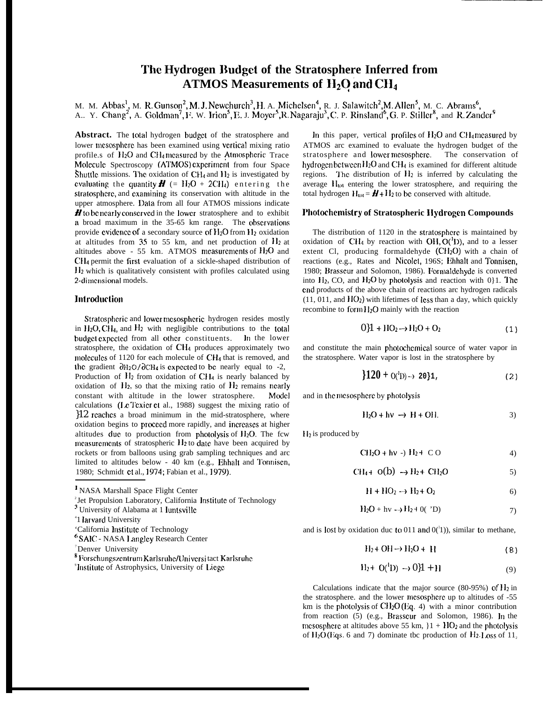# **The Hydrogen Budget of the Stratosphere Inferred from** ATMOS Measurements of  $H_2O$  and  $CH_4$

M. M. Abbas<sup>1</sup>, M. R. Gunson<sup>2</sup>, M. J. Newchurch<sup>3</sup>, H. A. Michelsen<sup>4</sup>, R. J. Salawitch<sup>2</sup>, M. Allen<sup>3</sup>, M. C. Abrams<sup>6</sup> A.. Y. Chang<sup>2</sup>, A. Goldman<sup>7</sup>, F. W. Irion<sup>3</sup>, E. J. Moyer<sup>3</sup>, R. Nagaraju<sup>3</sup>, C. P. Rinsland<sup>9</sup>, G. P. Stiller<sup>8</sup>, and R. Zander

Abstract. The total hydrogen budget of the stratosphere and lower mcsosphere has been examined using vertical mixing ratio profile.s of  $H_2O$  and  $CH_4$  measured by the Atmospheric Trace Molecule Spectroscopy (ATMOS) experiment from four Space Shuttle missions. The oxidation of  $CH_4$  and  $H_2$  is investigated by evaluating the quantity  $\boldsymbol{H}$  (= H<sub>2</sub>O + 2CH<sub>4</sub>) entering the stratosphere, and examining its conservation with altitude in the upper atmosphere. Data from all four ATMOS missions indicate  $\boldsymbol{H}$  to be nearly conserved in the lower stratosphere and to exhibit a broad maximum in the 35-65 km range. The observations provide evidence of a secondary source of  $H_2O$  from  $H_2$  oxidation at altitudes from 35 to 55 km, and net production of  $H_2$  at altitudes above - 55 km. ATMOS measurements of  $H_2O$  and CH<sub>4</sub> permit the first evaluation of a sickle-shaped distribution of 112 which is qualitatively consistent with profiles calculated using 2-dimensional models.

# **lntrodudion**

Stratospheric and lower mesospheric hydrogen resides mostly in  $H_2O$ , CH<sub>4</sub>, and  $H_2$  with negligible contributions to the total budget expected from all other constituents. In the lower stratosphere, the oxidation of CH<sub>4</sub> produces approximately two molcculcs of 1120 for each molecule of CH4 that is removed, and the gradient  $\partial$ H<sub>2</sub>O/ $\partial$ CH<sub>4</sub> is expected to be nearly equal to -2, Production of  $H_2$  from oxidation of CH4 is nearly balanced by oxidation of  $H_2$ , so that the mixing ratio of  $H_2$  remains nearly constant with altitude in the lower stratosphere. Model calculations (1x Tcxicr et al., 1988) suggest the mixing ratio of }12 rcachcs a broad minimum in the mid-stratosphere, where oxidation begins to procccd more rapidly, and incrcascs at higher altitudes due to production from photolysis of  $H_2O$ . The fcw mcasurcmcnts of stratospheric 112 to date have been acquired by rockets or from balloons using grab sampling techniques and arc limited to altitudes below - 40 km (e.g., Ehhalt and Tonniscn, 1980; Schmidt ct al., 1974; Fabian et al., 1979).

3 University of Alabama at 1 Iuntsvillc

- 'California lnstitutc of Technology
- <sup>6</sup> SAIC NASA Langley Research Center

- $8$  Forschungszentrum Karlsruhe/Universi tact Karlsruhe
- <sup>9</sup> Institute of Astrophysics, University of Liege

In this paper, vertical profiles of  $H_2O$  and  $CH_4$  measured by ATMOS arc examined to evaluate the hydrogen budget of the stratosphere and lower mesosphere. The conservation of hydrogen between  $H_2O$  and CH<sub>4</sub> is examined for different altitude regions. The distribution of  $H_2$  is inferred by calculating the average  $H_{\text{tot}}$  entering the lower stratosphere, and requiring the total hydrogen  $H_{tot} = H + H_2$  to be conserved with altitude.

### **l'hotochcmistry of Stratospheric IIydrogcn Compounds**

The distribution of  $1120$  in the stratosphere is maintained by oxidation of CH4 by reaction with  $OH, O(^1D)$ , and to a lesser extent Cl, producing formaldehyde  $(CH<sub>2</sub>O)$  with a chain of reactions (e.g., Rates and Nicolct, 196S; Ehhalt and Tonnisen, 1980; Brasseur and Solomon, 1986). Formaldehyde is converted into  $H_2$ , CO, and  $H_2O$  by photolysis and reaction with 0.1. The cnd products of the above chain of reactions arc hydrogen radicals  $(11, 011,$  and  $HO<sub>2</sub>$ ) with lifetimes of less than a day, which quickly recombine to form  $H_2O$  mainly with the reaction

$$
0{1 + HO2 \rightarrow H2O + O2
$$
 (1)

and constitute the main photochcmical source of water vapor in the stratosphere. Water vapor is lost in the stratosphere by

$$
\frac{120}{120} + O(^{1}D) \rightarrow 20\}1, \tag{2}
$$

and in the mcsosphcrc by photolysis

$$
H_2O + hv \rightarrow H + OH.
$$

 $H_2$  is produced by

$$
CH2O + hv -) H2 + CO
$$
 (4)

$$
CH4 + O(b) \rightarrow H2 + CH2O
$$
 5)

$$
H + HO_2 \rightarrow H_2 + O_2 \tag{6}
$$

$$
H_2O + hv \rightarrow H_2 + 0('D)
$$
 7)

and is lost by oxidation duc to 011 and  $O(^{1})$ ), similar to methane,

$$
H_2 + OH \rightarrow H_2O + H \tag{8}
$$

$$
H_2 + O(^1D) \rightarrow 0 (9)
$$

Calculations indicate that the major source (80-95%) of  $H_2$  in the stratosphere. and the lower mcsosphcre up to altitudes of -55 km is the photolysis of  $\text{CH}_2\text{O}(\text{Eq. 4})$  with a minor contribution from reaction  $(5)$  (e.g., Brasscur and Solomon, 1986). In the mesosphere at altitudes above 55 km,  ${1 + HO_2}$  and the photolysis of  $H_2O$  (Eqs. 6 and 7) dominate tbc production of  $H_2$ . Loss of 11,

<sup>&</sup>lt;sup>1</sup> NASA Marshall Space Flight Center

<sup>&</sup>lt;sup>2</sup> Jet Propulsion Laboratory, California Institute of Technology

<sup>&</sup>lt;sup>4</sup>1 larvard University

<sup>&</sup>lt;sup>7</sup>Denver University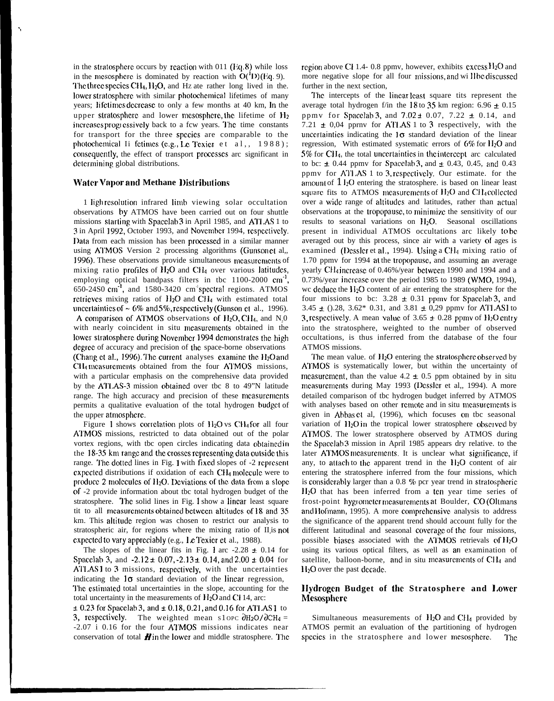in the stratosphere occurs by reaction with 011 ( $Eq. 8$ ) while loss in the mcsosphere is dominated by reaction with  $O(T)(Eq. 9)$ . The three species CH<sub>4</sub>,  $H_2O$ , and Hz ate rather long lived in the. lower stratosphere with similar photochemical lifetimes of many years; lifetimes decrease to only a few months at 40 km, In the upper stratosphere and lower mesosphere, the lifetime of  $H_2$ increases proglessively back to a fcw years. The time constants for transport for the three spccics are comparable to the photochemical Ii fetimes (e.g., Le Texier et al,,  $1988$ ); consequently, the effect of transport processes arc significant in determining global distributions.

## **Water Vapor and Methane Distributions**

1 ligh resolution infrared limb viewing solar occultation observations by ATMOS have been carried out on four shuttle missions slarting with Spacclab 3 in April 1985, and AI'I,AS 1 to 3 in April 1992, October 1993, and Novcmhcr 1994, rcspcclivcly. Data from each mission has been precesscd in a similar manner using ATMOS Version 2 processing algorithms (Gunson et al,, 1996). These observations provide simultaneous measurements of mixing ratio profiles of  $H_2O$  and CH<sub>4</sub> over various latitudes, employing optical bandpass filters in tbc  $1100-2000$  cm<sup>-1</sup> 650-24S0 cm<sup>-1</sup>, and 1580-3420 cm<sup>-1</sup> spectral regions. ATMOS rctricvcs mixing ratios of  $H_2O$  and CH<sub>4</sub> with estimated total uncertainties of  $\sim 6\%$  and 5%, respectively (Gunson et al., 1996). A comparison of ATMOS observations of  $H_2O$ , CH<sub>4</sub>, and N<sub>2</sub>0 with nearly coincident in situ mcasurcmcnts obtained in the lower stratosphere during November 1994 demonstrates the high degree of accuracy and precision of the space-borne observations (Chang et al., 1996). The current analyses examine the  $H_2O$  and CH4 measurements obtained from the four ATMOS missions, with a particular emphasis on the comprehensive data provided by the ATLAS-3 mission obtained over tbc 8 to 49"N latitude range. The high accuracy and precision of these measurements permits a qualitative evaluation of the total hydrogen budget of the upper atmosphere.

Figure 1 shows correlation plots of  $H_2O$  vs CH<sub>4</sub> for all four A'1'MOS missions, restricted to data obtained out of the polar vortex regions, with tbc open circles indicating data obtained in the  $18-35$  km range and the crosses representing data outside this range. The dotted lines in Fig. 1 with fixed slopes of -2 represent expected distributions if oxidation of each CH<sub>4</sub> molecule were to produce 2 molecules of  $H_2O$ . Deviations of the data from a slope of -2 provide information about tbc total hydrogen budget of the stratosphere. The solid lines in Fig. 1 show a linear least square tit to all measurements obtained between altitudes of 18 and 35 km. This altitude region was chosen to restrict our analysis to stratospheric air, for regions where the mixing ratio of II<sub>z</sub>is not expected to vary appreciably (e.g., Le Texier et al., 1988).

The slopes of the linear fits in Fig. 1 arc  $-2.28 \pm 0.14$  for Spacelab 3, and  $-2.12 \pm 0.07, -2.13 \pm 0.14$ , and 2.00  $\pm$  0.04 for AT1.AS 1 to 3 missions, rcspcctivcly, with the uncertainties indicating the  $1\sigma$  standard deviation of the linear regression, The estimated total uncertainties in the slope, accounting for the total uncertainty in the measurements of  $H_2O$  and Cl 14, arc:  $\pm$  0.23 for Spacelab 3, and  $\pm$  0.18, 0.21, and 0.16 for ATLAS 1 to

3, respectively. The weighted mean s1 opc  $\partial H_2O/\partial CH_4 =$ -2.07 i 0.16 for the four AI'MOS missions indicates near conservation of total  $\boldsymbol{H}$  in the lower and middle stratosphere. The region above Cl 1.4- 0.8 ppmv, however, exhibits excess  $H_2O$  and more negative slope for all four missions, and will be discussed further in the next section,

I'hc intercepts of the Iincar Icast square tits represent the average total hydrogen f/in the 18 to 35 km region:  $6.96 \pm 0.15$ ppmv for Spacclab 3, and  $7.02 \pm 0.07$ ,  $7.22 \pm 0.14$ , and 7.21  $\pm$  0,04 pprnv for ATLAS 1 to 3 respectively, with the uncertainties indicating the  $1\sigma$  standard deviation of the linear regression, With estimated systematic errors of  $6\%$  for  $H_2O$  and  $5\%$  for CH<sub>4</sub>, the total uncertainties in the intercept arc calculated to bc:  $\pm$  0.44 ppmv for Spacelab 3, and  $\pm$  0.43, 0.45, and 0.43 ppmv for A7'1 .AS 1 to 3, rcspcctivcly. Our estimate. for the amount of  $1$  I<sub>2</sub>O entering the stratosphere. is based on linear least square fits to ATMOS measurements of  $H_2O$  and  $CH_4$  collected over a wide range of altitudes and latitudes, rather than actual observations at the tropopausc, to minirnizc the sensitivity of our results to seasonal variations on 1120. Seasonal oscillations present in individual ATMOS occultations arc likely to bc averaged out by this process, since air with a variety of ages is examined (Dessler et al., 1994). Using a CH<sub>4</sub> mixing ratio of 1.70 ppmv for 1994 at the tropopause, and assuming an average yearly CH<sub>4</sub> increase of 0.46%/year between 1990 and 1994 and a 0.73%/year incrcasc over the period 1985 to 1989 (WMO, 1994), wc deduce the  $H_2O$  content of air entering the stratosphere for the four missions to bc:  $3.28 \pm 0.31$  ppmv for Spacelab 3, and 3.45  $\pm$  ().28, 3.62\* 0.31, and 3.81  $\pm$  0.29 ppmv for ATLAS1 to 3, respectively. A mean value of  $3.65 \pm 0.28$  ppmv of  $H_2O$  entry into the stratosphere, weighted to the number of observed occultations, is thus inferred from the database of the four ATMOS missions.

The mean value. of  $H<sub>2</sub>O$  entering the stratosphere observed by ATMOS is systematically lower, but within the uncertainty of measurement, than the value  $4.2 \pm 0.5$  ppm obtained by in situ measurements during May 1993 (Dessler et al., 1994). A more detailed comparison of tbc hydrogen budget inferred by ATMOS with analyses based on other remote and in situ measurements is given in Abbas ct al, (1996), which focuses on tbc seasonal variation of  $II_2O$  in the tropical lower stratosphere observed by ATMOS. The lower stratosphere observed by ATMOS during the Spacelab 3 mission in April 1985 appears dry relative. to the later ATMOS measurements. It is unclear what significance, if any, to attach to the apparent trend in the  $H_2O$  content of air entering the stratosphere inferred from the four missions, which is considerably larger than a  $0.8$  % pcr year trend in stratospheric H<sub>2</sub>O that has been inferred from a ten year time series of frost-point hygrometer measurements at Boulder, CO (Oltmans and Hofmann, 1995). A more comprehensive analysis to address the significance of the apparent trend should account fully for the different latitudinal and seasonal covcragc of the four missions, possible biases associated with the ATMOS retrievals of  $H<sub>2</sub>O$ using its various optical filters, as well as an examination of satellite, balloon-borne, and in situ measurements of CH<sub>4</sub> and  $H<sub>2</sub>O$  over the past decade.

# **IIyrlrogcn Budget of the Stratosphere and 1,owcr Mesosphcrc**

Simultaneous measurements of  $H_2O$  and  $CH_4$  provided by ATMOS permit an evaluation of the partitioning of hydrogen species in the stratosphere and lower mesosphere. The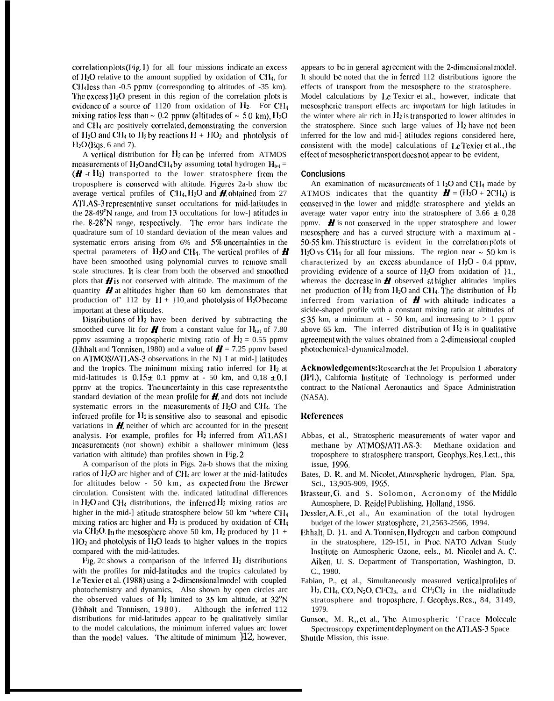$correlation plots (Fig. 1)$  for all four missions indicate an excess of  $H_2O$  relative to the amount supplied by oxidation of C $H_4$ , for  $CH<sub>4</sub>$  less than -0.5 ppmv (corresponding to altitudes of -35 km). The excess  $I_2O$  present in this region of the correlation plots is cvidence of a source of  $1120$  from oxidation of  $H_2$ . For CH<sub>4</sub> mixing ratios less than  $\sim 0.2$  ppmv (altitudes of  $\sim 5.0$  km), H<sub>2</sub>O and CH<sub>4</sub> arc positively correlated, demonstrating the conversion of  $H_2O$  and CH<sub>4</sub> to  $H_2$  by reactions  $H + HO_2$  and photolysis of  $H<sub>2</sub>O$  (Eqs. 6 and 7).

A vertical distribution for  $H_2$  can be inferred from ATMOS measurements of  $H_2O$  and CH<sub>4</sub> by assuming total hydrogen  $H_{tot}$  =  $(H - t H<sub>2</sub>)$  transported to the lower stratosphere from the troposphere is conscrvcd with altitude. Pigurcs 2a-b show tbc average vertical profiles of CH<sub>4</sub>, H<sub>2</sub>O and **H**, obtained from 27 ATLAS-3 representative sunset occultations for mid-latitudes in the  $28-49^{\circ}$ N range, and from 13 occultations for low-] atitudes in the.  $8-28^\circ$ N range, respectively. The error bars indicate the quadrature sum of 10 standard deviation of the mean values and systematic errors arising from  $6\%$  and  $5\%$  uncertainties in the spectral parameters of  $H_2O$  and CH<sub>4</sub>. The vertical profiles of  $\boldsymbol{H}$ have been smoothed using polynomial curves to remove small scale structures. It is clear from both the observed and smoothed plots that  $\boldsymbol{H}$  is not conserved with altitude. The maximum of the quantity  $\boldsymbol{H}$  at altitudes higher than 60 km demonstrates that production of' 112 by  $H + \{10, \text{and photolysis of } H_2O \text{ become}$ important at these altitudes.

Distributions of  $H_2$  have been derived by subtracting the smoothed curve lit for  $\boldsymbol{H}$  from a constant value for  $H_{tot}$  of 7.80 ppmv assuming a tropospheric mixing ratio of  $H_2 = 0.55$  ppmv (Ehhalt and Tonniscn, 1980) and a value of  $\mathbf{H} = 7.25$  ppmv based on ATMOS/ATLAS-3 observations in the N | I at mid-] latitudes and the tropics. The minimum mixing ratio inferred for  $H_2$  at mid-latitudes is  $0.15 \pm 0.1$  ppmv at - 50 km, and  $0.18 \pm 0.1$ pprnv at the tropics. The uncertainty in this case represents the standard deviation of the mean profile for  $\boldsymbol{H}$ , and dots not include systematic errors in the measurements of  $H_2O$  and  $CH_4$ . The inferred profile for  $H_2$  is sensitive also to seasonal and episodic variations in  $\mathbf{H}$  neither of which arc accounted for in the present analysis. For example, profiles for H<sub>2</sub> inferred from ATLAS1 mcasurcmcnts (not shown) exhibit a shallower minimum (Icss variation with altitude) than profiles shown in Fig. 2.

A comparison of the plots in Pigs. 2a-b shows that the mixing ratios of  $H_2O$  arc higher and of  $CH_4$  arc lower at the mid-latitudes for altitudes below -  $50 \text{ km}$ , as expected from the Brewer circulation. Consistent with the. indicated latitudinal differences in  $H_2O$  and CH<sub>4</sub> distributions, the inferred  $H_2$  mixing ratios arc higher in the mid-] atitude stratosphere below 50 km 'where CH4 mixing ratios arc higher and  $H_2$  is produced by oxidation of CH4 via CH<sub>2</sub>O. In the mesosphere above 50 km,  $H_2$  produced by  $\}1 +$  $11O<sub>2</sub>$  and photolysis of  $H<sub>2</sub>O$  leads to higher values in the tropics compared with the mid-latitudes.

Fig. 2c shows a comparison of the inferred  $H_2$  distributions with the profiles for mid-latitudes and the tropics calculated by Le Texier et al. (1988) using a 2-dimensional model with coupled photochemistry and dynamics, Also shown by open circles arc the observed values of  $H_2$  limited to 35 km altitude, at  $32^\circ N$ (Ehhalt and Tonniscn, 1980). Although the inferred 112 distributions for rnid-latitudes appear to bc qualitatively similar to the model calculations, the minimum inferred values arc lower than the model values. The altitude of minimum  $12$ , however, appears to be in general agreement with the 2-dimensional model. It should be noted that the in ferred 112 distributions ignore the effects of transport from the mcsosphere to the stratosphere. Model calculations by  $I\mathcal{L}$  Texicr et al., however, indicate that mcsosphcric transport effects arc importani for high latitudes in the winter where air rich in  $\rm{H}_2$  is transported to lower altitudes in the stratosphere. Since such large values of  $H_2$  have not been inferred for the low and mid-] atitudes regions considered here, consistent with the mode] calculations of Le Texier et al., the effect of mesospheric transport does not appear to be evident,

#### **Conclusions**

An examination of measurements of  $1 \text{ l}_2\text{O}$  and CH<sub>4</sub> made by ATMOS indicates that the quantity  $\mathbf{H} = (H_2O + 2CH_4)$  is conserved in the lower and middle stratosphere and yields an average water vapor entry into the stratosphere of  $3.66 \pm 0.28$ ppmv.  $\boldsymbol{H}$  is not conserved in the upper stratosphere and lower mesosphere and has a curved structure with a maximum at -50-55 km. This structure is evident in the correlation plots of  $H_2O$  vs CH<sub>4</sub> for all four missions. The region near  $\sim$  50 km is characterized by an excess abundance of  $H<sub>2</sub>O - 0.4$  ppmv, providing evidence of a source of  $H_2O$  from oxidation of  $1_2$ , whereas the decrease in  $\boldsymbol{H}$  observed at higher altitudes implies net production of  $H_2$  from  $H_2O$  and CH<sub>4</sub>. The distribution of  $H_2$ inferred from variation of  $\boldsymbol{H}$  with altitude indicates a sickle-shaped profile with a constant mixing ratio at altitudes of  $\leq$  35 km, a minimum at - 50 km, and increasing to > 1 ppmv above 65 km. The inferred distribution of  $H_2$  is in qualitative agreement with the values obtained from a 2-dimensional coupled photochemical-dynamical model.

**Acknowledgements:** Research at the Jet Propulsion 1 aboratory (JP1 ,), California Institulc of Technology is performed under contract to the National Aeronautics and Space Administration (NASA).

# **Rcfcrcnccs**

- Abbas, ct al., Stratospheric mcasurcmcnts of water vapor and methane by ATMOS/ATLAS-3: Methane oxidation and troposphere to stratospbcrc transport, Cicophys. Rcs. Iztt., this issue, 1996.
- Bates, D. R. and M. Nicolet, Atmospheric hydrogen, Plan. Spa, Sci., 13,905-909, 1965.
- Brasseur, G. and S. Solomon, Acronomy of the Middle Atmosphere, D. Reidel Publishing, Holland, 19S6.
- Dessler, A. E., et al., An examination of the total hydrogen budget of the lower stratosphere, 21,2563-2566, 1994.
- Ehhalt, D. 11. and A. Tonnisen, Hydrogen and carbon compound in the stratosphere, 129-151, in Proc. NATO Advan, Study lnstitutc on Atmospheric Ozone, eels., M. Nicolct and A. C. Aikcn, U. S. Department of Transportation, Washington, D. C., 1980.
- Fabian, P., et al., Simultaneously measured vertical profiles of  $H_2$ , CH<sub>4</sub>, CO, N<sub>2</sub>O, CFCl<sub>3</sub>, and CF<sub>2</sub>Cl<sub>2</sub> in the midlatitude stratosphere and troposphere, J. Geophys. Res., 84, 3149, 1979.
- Gunson, M. R., et al., The Atmospheric 'f'race Molecule Spectroscopy experiment deployment on the ATLAS-3 Space Shuttle Mission, this issue.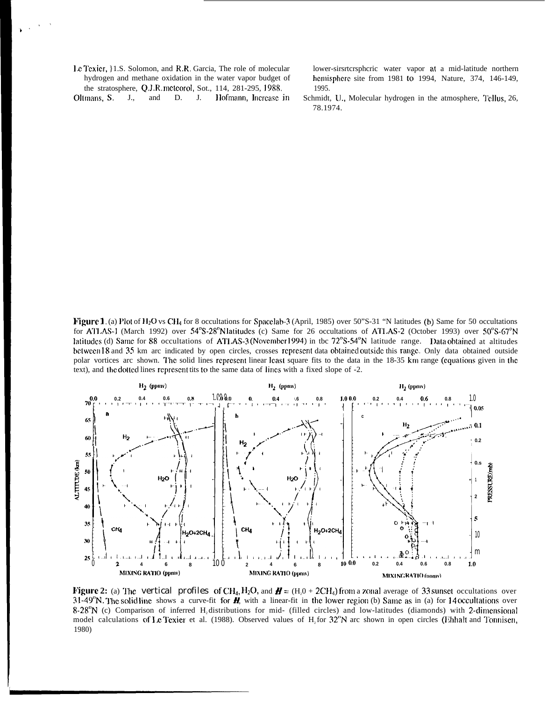**I.e. Texicr, }1.S.** Solomon, and **R.R.** Garcia, The role of molecular lower-sirstcrsphcric water vapor at a mid-latitude northern hydrogen and methane oxidation in the water vapor budget of hemisphere site from 1981 to 19 the stratosphere, Q.J.R. meteorol, Sot., 114, 281-295, 1988. 1995.

hemisphere site from 1981 to 1994, Nature, 374, 146-149,

Figure 1. (a) Plot of H<sub>2</sub>O vs CH<sub>4</sub> for 8 occultations for Spacclab-3 (April, 1985) over 50"S-31 "N latitudes (b) Same for 50 occultations for ATLAS-1 (March 1992) over  $54^{\circ}S-28^{\circ}N$  latitudes (c) Same for 26 occultations of ATLAS-2 (October 1993) over  $50^{\circ}S-67^{\circ}N$ latitudes (d) Same for 88 occultations of ATLAS-3 (November 1994) in tbc 72°S-54°N latitude range. Data obtained at altitudes bctween 18 and 35 km arc indicated by open circles, crosses represent data obtained outside this range. Only data obtained outside polar vortices arc shown. The solid lines represent linear least square fits to the data in the 18-35 km range (equations given in the text), and the dotted lines rcprcscnt tits to the same data of lines with a fixed slope of -2.



**Figure 2:** (a) The vertical profiles of CH<sub>4</sub>, H<sub>2</sub>O, and  $H = (H_2O + 2CH_4)$  from a zonal average of 33 sunset occultations over 31-49 $\degree$ N. The solid line shows a curve-fit for **H**, with a linear-fit in the lower region (b) Same as in (a) for 14 occultations over  $8-28^{\circ}N$  (c) Comparison of inferred H, distributions for mid- (filled circles) and low-latitudes (diamonds) with 2-dimensional model calculations of Le Texier et al. (1988). Observed values of H, for  $32^\circ N$  arc shown in open circles (Fihhalt and Tonnisen, 1980)

Oltmans, S. J., and D. J. Hofmann, Increase in Schmidt, U., Molecular hydrogen in the atmosphere, Tellus, 26, 78.1974.